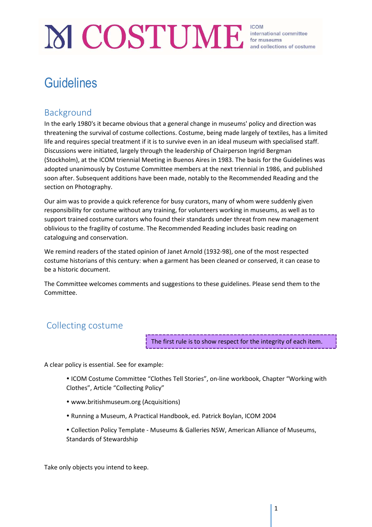# MCOSTUME for museums and collections of costul

## **Guidelines**

## Background

In the early 1980's it became obvious that a general change in museums' policy and direction was threatening the survival of costume collections. Costume, being made largely of textiles, has a limited life and requires special treatment if it is to survive even in an ideal museum with specialised staff. Discussions were initiated, largely through the leadership of Chairperson Ingrid Bergman (Stockholm), at the ICOM triennial Meeting in Buenos Aires in 1983. The basis for the Guidelines was adopted unanimously by Costume Committee members at the next triennial in 1986, and published soon after. Subsequent additions have been made, notably to the Recommended Reading and the section on Photography.

Our aim was to provide a quick reference for busy curators, many of whom were suddenly given responsibility for costume without any training, for volunteers working in museums, as well as to support trained costume curators who found their standards under threat from new management oblivious to the fragility of costume. The Recommended Reading includes basic reading on cataloguing and conservation.

We remind readers of the stated opinion of Janet Arnold (1932-98), one of the most respected costume historians of this century: when a garment has been cleaned or conserved, it can cease to be a historic document.

The Committee welcomes comments and suggestions to these guidelines. Please send them to the Committee.

## Collecting costume

The first rule is to show respect for the integrity of each item.

A clear policy is essential. See for example:

 ICOM Costume Committee "Clothes Tell Stories", on-line workbook, Chapter "Working with Clothes", Article "Collecting Policy"

- www.britishmuseum.org (Acquisitions)
- Running a Museum, A Practical Handbook, ed. Patrick Boylan, ICOM 2004

 Collection Policy Template - Museums & Galleries NSW, American Alliance of Museums, Standards of Stewardship

Take only objects you intend to keep.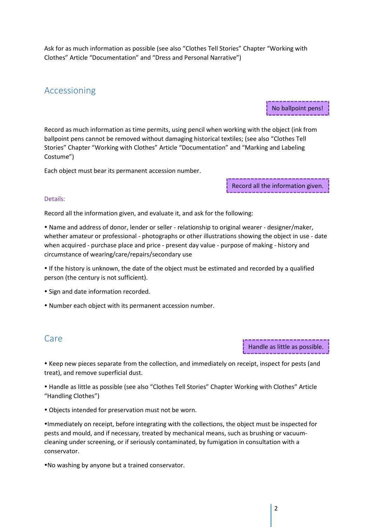Ask for as much information as possible (see also "Clothes Tell Stories" Chapter "Working with Clothes" Article "Documentation" and "Dress and Personal Narrative")

## Accessioning

No ballpoint pens!

Record as much information as time permits, using pencil when working with the object (ink from ballpoint pens cannot be removed without damaging historical textiles; (see also "Clothes Tell Stories" Chapter "Working with Clothes" Article "Documentation" and "Marking and Labeling Costume")

Each object must bear its permanent accession number.

Record all the information given.

#### Details:

Record all the information given, and evaluate it, and ask for the following:

 Name and address of donor, lender or seller - relationship to original wearer - designer/maker, whether amateur or professional - photographs or other illustrations showing the object in use - date when acquired - purchase place and price - present day value - purpose of making - history and circumstance of wearing/care/repairs/secondary use

 If the history is unknown, the date of the object must be estimated and recorded by a qualified person (the century is not sufficient).

• Sign and date information recorded.

Number each object with its permanent accession number.

## Care

Handle as little as possible.

 Keep new pieces separate from the collection, and immediately on receipt, inspect for pests (and treat), and remove superficial dust.

 Handle as little as possible (see also "Clothes Tell Stories" Chapter Working with Clothes" Article "Handling Clothes")

Objects intended for preservation must not be worn.

Immediately on receipt, before integrating with the collections, the object must be inspected for pests and mould, and if necessary, treated by mechanical means, such as brushing or vacuumcleaning under screening, or if seriously contaminated, by fumigation in consultation with a conservator.

No washing by anyone but a trained conservator.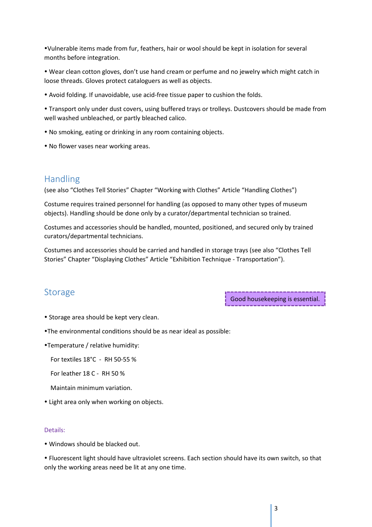Vulnerable items made from fur, feathers, hair or wool should be kept in isolation for several months before integration.

 Wear clean cotton gloves, don't use hand cream or perfume and no jewelry which might catch in loose threads. Gloves protect cataloguers as well as objects.

Avoid folding. If unavoidable, use acid-free tissue paper to cushion the folds.

 Transport only under dust covers, using buffered trays or trolleys. Dustcovers should be made from well washed unbleached, or partly bleached calico.

- No smoking, eating or drinking in any room containing objects.
- No flower vases near working areas.

## Handling

(see also "Clothes Tell Stories" Chapter "Working with Clothes" Article "Handling Clothes")

Costume requires trained personnel for handling (as opposed to many other types of museum objects). Handling should be done only by a curator/departmental technician so trained.

Costumes and accessories should be handled, mounted, positioned, and secured only by trained curators/departmental technicians.

Costumes and accessories should be carried and handled in storage trays (see also "Clothes Tell Stories" Chapter "Displaying Clothes" Article "Exhibition Technique - Transportation").

## **Storage**

Good housekeeping is essential.

- Storage area should be kept very clean.
- The environmental conditions should be as near ideal as possible:

Temperature / relative humidity:

For textiles 18°C - RH 50-55 %

For leather 18 C - RH 50 %

- Maintain minimum variation.
- Light area only when working on objects.

#### Details:

Windows should be blacked out.

 Fluorescent light should have ultraviolet screens. Each section should have its own switch, so that only the working areas need be lit at any one time.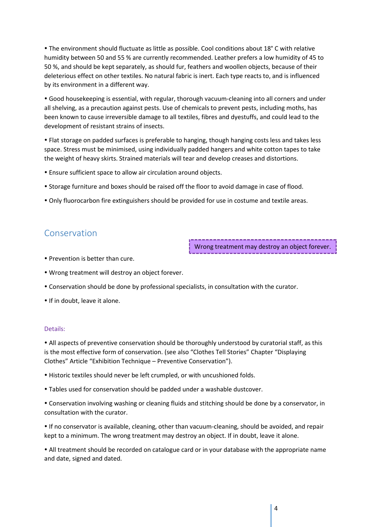The environment should fluctuate as little as possible. Cool conditions about 18° C with relative humidity between 50 and 55 % are currently recommended. Leather prefers a low humidity of 45 to 50 %, and should be kept separately, as should fur, feathers and woollen objects, because of their deleterious effect on other textiles. No natural fabric is inert. Each type reacts to, and is influenced by its environment in a different way.

 Good housekeeping is essential, with regular, thorough vacuum-cleaning into all corners and under all shelving, as a precaution against pests. Use of chemicals to prevent pests, including moths, has been known to cause irreversible damage to all textiles, fibres and dyestuffs, and could lead to the development of resistant strains of insects.

 Flat storage on padded surfaces is preferable to hanging, though hanging costs less and takes less space. Stress must be minimised, using individually padded hangers and white cotton tapes to take the weight of heavy skirts. Strained materials will tear and develop creases and distortions.

- Ensure sufficient space to allow air circulation around objects.
- Storage furniture and boxes should be raised off the floor to avoid damage in case of flood.
- Only fluorocarbon fire extinguishers should be provided for use in costume and textile areas.

## Conservation

Wrong treatment may destroy an object forever.

- Prevention is better than cure.
- Wrong treatment will destroy an object forever.
- Conservation should be done by professional specialists, in consultation with the curator.
- If in doubt, leave it alone.

#### Details:

 All aspects of preventive conservation should be thoroughly understood by curatorial staff, as this is the most effective form of conservation. (see also "Clothes Tell Stories" Chapter "Displaying Clothes" Article "Exhibition Technique – Preventive Conservation").

- Historic textiles should never be left crumpled, or with uncushioned folds.
- Tables used for conservation should be padded under a washable dustcover.
- Conservation involving washing or cleaning fluids and stitching should be done by a conservator, in consultation with the curator.
- If no conservator is available, cleaning, other than vacuum-cleaning, should be avoided, and repair kept to a minimum. The wrong treatment may destroy an object. If in doubt, leave it alone.

 All treatment should be recorded on catalogue card or in your database with the appropriate name and date, signed and dated.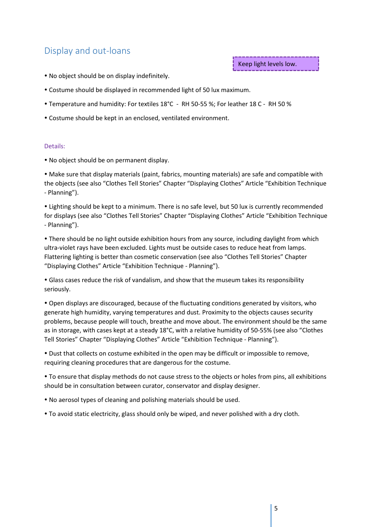## Display and out-loans

Keep light levels low.

- No object should be on display indefinitely.
- Costume should be displayed in recommended light of 50 lux maximum.
- Temperature and humidity: For textiles 18°C RH 50-55 %; For leather 18 C RH 50 %
- Costume should be kept in an enclosed, ventilated environment.

#### Details:

No object should be on permanent display.

 Make sure that display materials (paint, fabrics, mounting materials) are safe and compatible with the objects (see also "Clothes Tell Stories" Chapter "Displaying Clothes" Article "Exhibition Technique - Planning").

 Lighting should be kept to a minimum. There is no safe level, but 50 lux is currently recommended for displays (see also "Clothes Tell Stories" Chapter "Displaying Clothes" Article "Exhibition Technique - Planning").

 There should be no light outside exhibition hours from any source, including daylight from which ultra-violet rays have been excluded. Lights must be outside cases to reduce heat from lamps. Flattering lighting is better than cosmetic conservation (see also "Clothes Tell Stories" Chapter "Displaying Clothes" Article "Exhibition Technique - Planning").

 Glass cases reduce the risk of vandalism, and show that the museum takes its responsibility seriously.

 Open displays are discouraged, because of the fluctuating conditions generated by visitors, who generate high humidity, varying temperatures and dust. Proximity to the objects causes security problems, because people will touch, breathe and move about. The environment should be the same as in storage, with cases kept at a steady 18°C, with a relative humidity of 50-55% (see also "Clothes Tell Stories" Chapter "Displaying Clothes" Article "Exhibition Technique - Planning").

 Dust that collects on costume exhibited in the open may be difficult or impossible to remove, requiring cleaning procedures that are dangerous for the costume.

 To ensure that display methods do not cause stress to the objects or holes from pins, all exhibitions should be in consultation between curator, conservator and display designer.

- No aerosol types of cleaning and polishing materials should be used.
- To avoid static electricity, glass should only be wiped, and never polished with a dry cloth.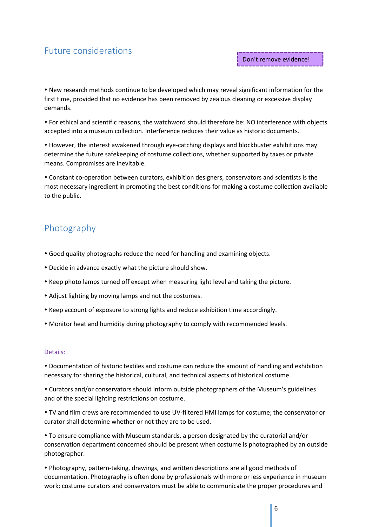## Future considerations

 New research methods continue to be developed which may reveal significant information for the first time, provided that no evidence has been removed by zealous cleaning or excessive display demands.

 For ethical and scientific reasons, the watchword should therefore be: NO interference with objects accepted into a museum collection. Interference reduces their value as historic documents.

 However, the interest awakened through eye-catching displays and blockbuster exhibitions may determine the future safekeeping of costume collections, whether supported by taxes or private means. Compromises are inevitable.

 Constant co-operation between curators, exhibition designers, conservators and scientists is the most necessary ingredient in promoting the best conditions for making a costume collection available to the public.

## Photography

- Good quality photographs reduce the need for handling and examining objects.
- Decide in advance exactly what the picture should show.
- Keep photo lamps turned off except when measuring light level and taking the picture.
- Adjust lighting by moving lamps and not the costumes.
- Keep account of exposure to strong lights and reduce exhibition time accordingly.
- Monitor heat and humidity during photography to comply with recommended levels.

#### Details:

 Documentation of historic textiles and costume can reduce the amount of handling and exhibition necessary for sharing the historical, cultural, and technical aspects of historical costume.

 Curators and/or conservators should inform outside photographers of the Museum's guidelines and of the special lighting restrictions on costume.

 TV and film crews are recommended to use UV-filtered HMI lamps for costume; the conservator or curator shall determine whether or not they are to be used.

 To ensure compliance with Museum standards, a person designated by the curatorial and/or conservation department concerned should be present when costume is photographed by an outside photographer.

 Photography, pattern-taking, drawings, and written descriptions are all good methods of documentation. Photography is often done by professionals with more or less experience in museum work; costume curators and conservators must be able to communicate the proper procedures and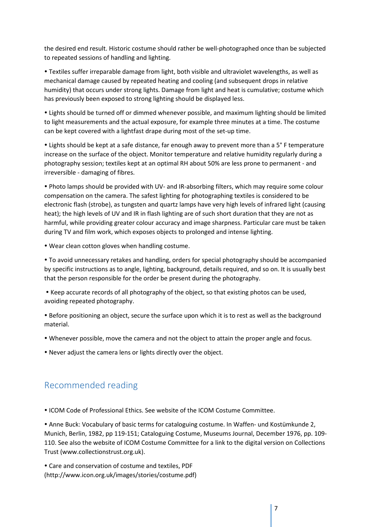the desired end result. Historic costume should rather be well-photographed once than be subjected to repeated sessions of handling and lighting.

 Textiles suffer irreparable damage from light, both visible and ultraviolet wavelengths, as well as mechanical damage caused by repeated heating and cooling (and subsequent drops in relative humidity) that occurs under strong lights. Damage from light and heat is cumulative; costume which has previously been exposed to strong lighting should be displayed less.

 Lights should be turned off or dimmed whenever possible, and maximum lighting should be limited to light measurements and the actual exposure, for example three minutes at a time. The costume can be kept covered with a lightfast drape during most of the set-up time.

 Lights should be kept at a safe distance, far enough away to prevent more than a 5° F temperature increase on the surface of the object. Monitor temperature and relative humidity regularly during a photography session; textiles kept at an optimal RH about 50% are less prone to permanent - and irreversible - damaging of fibres.

 Photo lamps should be provided with UV- and IR-absorbing filters, which may require some colour compensation on the camera. The safest lighting for photographing textiles is considered to be electronic flash (strobe), as tungsten and quartz lamps have very high levels of infrared light (causing heat); the high levels of UV and IR in flash lighting are of such short duration that they are not as harmful, while providing greater colour accuracy and image sharpness. Particular care must be taken during TV and film work, which exposes objects to prolonged and intense lighting.

Wear clean cotton gloves when handling costume.

 To avoid unnecessary retakes and handling, orders for special photography should be accompanied by specific instructions as to angle, lighting, background, details required, and so on. It is usually best that the person responsible for the order be present during the photography.

 Keep accurate records of all photography of the object, so that existing photos can be used, avoiding repeated photography.

 Before positioning an object, secure the surface upon which it is to rest as well as the background material.

Whenever possible, move the camera and not the object to attain the proper angle and focus.

Never adjust the camera lens or lights directly over the object.

## Recommended reading

ICOM Code of Professional Ethics. See website of the ICOM Costume Committee.

 Anne Buck: Vocabulary of basic terms for cataloguing costume. In Waffen- und Kostümkunde 2, Munich, Berlin, 1982, pp 119-151; Cataloguing Costume, Museums Journal, December 1976, pp. 109- 110. See also the website of ICOM Costume Committee for a link to the digital version on Collections Trust (www.collectionstrust.org.uk).

 Care and conservation of costume and textiles, PDF (http://www.icon.org.uk/images/stories/costume.pdf)